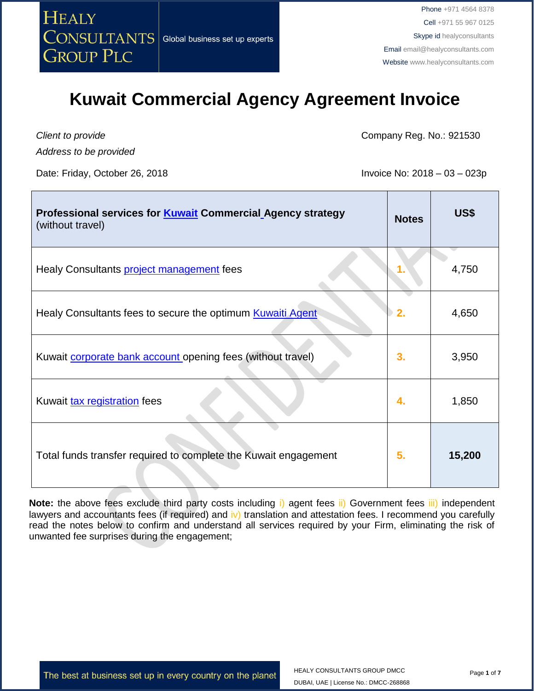

*Client to provide*

*Address to be provided*

Date: Friday, October 26, 2018 **Invoice No: 2018** - 03 – 023p

Company Reg. No.: 921530

| Professional services for <b>Kuwait</b> Commercial Agency strategy<br>(without travel) | <b>Notes</b> | <b>US\$</b> |
|----------------------------------------------------------------------------------------|--------------|-------------|
| Healy Consultants <b>project management</b> fees                                       |              | 4,750       |
| Healy Consultants fees to secure the optimum Kuwaiti Agent                             | 2.           | 4,650       |
| Kuwait <b>corporate bank account</b> opening fees (without travel)                     | 3.           | 3,950       |
| Kuwait tax registration fees                                                           | 4.           | 1,850       |
| Total funds transfer required to complete the Kuwait engagement                        | 5.           | 15,200      |

**Note:** the above fees exclude third party costs including i) agent fees ii) Government fees iii) independent lawyers and accountants fees (if required) and iv) translation and attestation fees. I recommend you carefully read the notes below to confirm and understand all services required by your Firm, eliminating the risk of unwanted fee surprises during the engagement;

The best at business set up in every country on the planet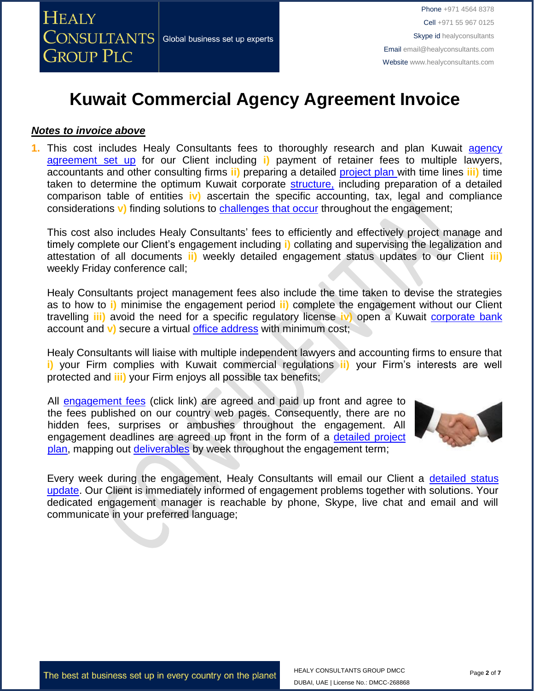### *Notes to invoice above*

**1.** This cost includes Healy Consultants fees to thoroughly research and plan Kuwait [agency](http://www.healyconsultants.com/kuwait-company-registration/)  [agreement](http://www.healyconsultants.com/kuwait-company-registration/) set up for our Client including **i)** payment of retainer fees to multiple lawyers, accountants and other consulting firms **ii)** preparing a detailed [project plan w](http://www.healyconsultants.com/index-important-links/example-project-plan/)ith time lines **iii)** time taken to determine the optimum Kuwait corporate [structure,](http://www.healyconsultants.com/kuwait-company-registration/setup-llc/) including preparation of a detailed comparison table of entities **iv)** ascertain the specific accounting, tax, legal and compliance considerations **v**) finding solutions to [challenges that occur](http://www.healyconsultants.com/engagement-project-management/) throughout the engagement;

This cost also includes Healy Consultants' fees to efficiently and effectively project manage and timely complete our Client's engagement including **i)** collating and supervising the legalization and attestation of all documents **ii)** weekly detailed engagement status updates to our Client **iii)**  weekly Friday conference call;

Healy Consultants project management fees also include the time taken to devise the strategies as to how to **i)** minimise the engagement period **ii)** complete the engagement without our Client travelling **iii)** avoid the need for a specific regulatory license **iv)** open a Kuwait [corporate bank](http://www.healyconsultants.com/saudi-arabia-company-registration/formation-support-services/) account and **v)** secure a virtual [office address](http://www.healyconsultants.com/corporate-advisory-services/virtual-office/) with minimum cost;

Healy Consultants will liaise with multiple independent lawyers and accounting firms to ensure that **i)** your Firm complies with Kuwait commercial regulations **ii)** your Firm's interests are well protected and **iii)** your Firm enjoys all possible tax benefits;

All [engagement fees](http://www.healyconsultants.com/company-registration-fees/) (click link) are agreed and paid up front and agree to the fees published on our country web pages. Consequently, there are no hidden fees, surprises or ambushes throughout the engagement. All engagement deadlines are agreed up front in the form of a [detailed project](http://www.healyconsultants.com/index-important-links/example-project-plan/)  [plan,](http://www.healyconsultants.com/index-important-links/example-project-plan/) mapping out [deliverables](http://www.healyconsultants.com/deliverables-to-our-clients/) by week throughout the engagement term;



Every week during the engagement, Healy Consultants will email our Client a [detailed status](http://www.healyconsultants.com/index-important-links/weekly-engagement-status-email/)  [update.](http://www.healyconsultants.com/index-important-links/weekly-engagement-status-email/) Our Client is immediately informed of engagement problems together with solutions. Your dedicated engagement manager is reachable by phone, Skype, live chat and email and will communicate in your preferred language;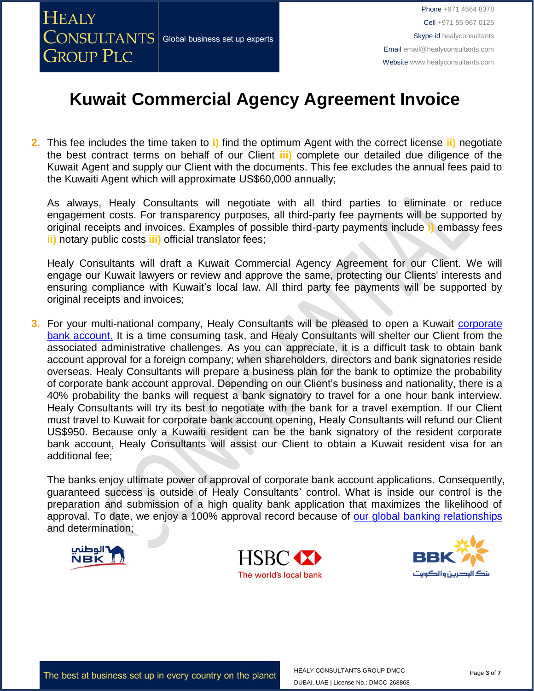**2.** This fee includes the time taken to **i)** find the optimum Agent with the correct license **ii)** negotiate the best contract terms on behalf of our Client **iii)** complete our detailed due diligence of the Kuwait Agent and supply our Client with the documents. This fee excludes the annual fees paid to the Kuwaiti Agent which will approximate US\$60,000 annually;

As always, Healy Consultants will negotiate with all third parties to eliminate or reduce engagement costs. For transparency purposes, all third-party fee payments will be supported by original receipts and invoices. Examples of possible third-party payments include **i)** embassy fees **ii)** notary public costs **iii)** official translator fees;

Healy Consultants will draft a Kuwait Commercial Agency Agreement for our Client. We will engage our Kuwait lawyers or review and approve the same, protecting our Clients' interests and ensuring compliance with Kuwait's local law. All third party fee payments will be supported by original receipts and invoices;

**3.** For your multi-national company, Healy Consultants will be pleased to open a Kuwait [corporate](http://www.healyconsultants.com/kuwait-company-registration/banking/)  [bank account.](http://www.healyconsultants.com/kuwait-company-registration/banking/) It is a time consuming task, and Healy Consultants will shelter our Client from the associated administrative challenges. As you can appreciate, it is a difficult task to obtain bank account approval for a foreign company; when shareholders, directors and bank signatories reside overseas. Healy Consultants will prepare a business plan for the bank to optimize the probability of corporate bank account approval. Depending on our Client's business and nationality, there is a 40% probability the banks will request a bank signatory to travel for a one hour bank interview. Healy Consultants will try its best to negotiate with the bank for a travel exemption. If our Client must travel to Kuwait for corporate bank account opening, Healy Consultants will refund our Client US\$950. Because only a Kuwaiti resident can be the bank signatory of the resident corporate bank account, Healy Consultants will assist our Client to obtain a Kuwait resident visa for an additional fee;

The banks enjoy ultimate power of approval of corporate bank account applications. Consequently, guaranteed success is outside of Healy Consultants' control. What is inside our control is the preparation and submission of a high quality bank application that maximizes the likelihood of approval. To date, we enjoy a 100% approval record because of [our global banking relationships](http://www.healyconsultants.com/international-banking/corporate-accounts/) and determination;





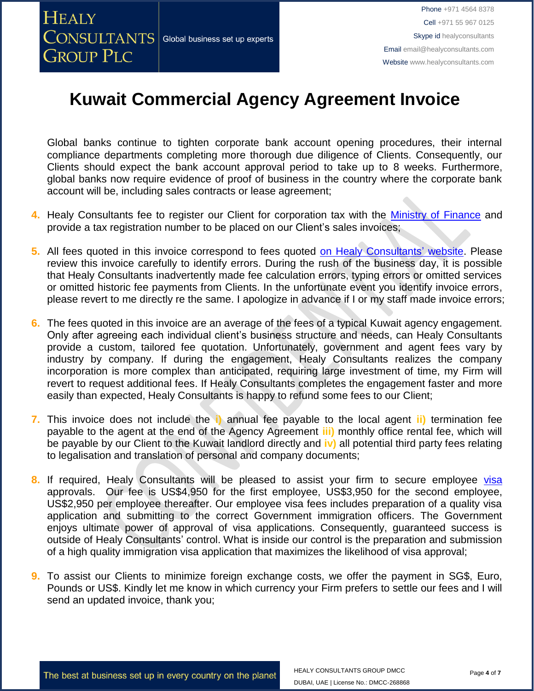**HEALY** 

**GROUP PLC** 

## **Kuwait Commercial Agency Agreement Invoice**

Global banks continue to tighten corporate bank account opening procedures, their internal compliance departments completing more thorough due diligence of Clients. Consequently, our Clients should expect the bank account approval period to take up to 8 weeks. Furthermore, global banks now require evidence of proof of business in the country where the corporate bank account will be, including sales contracts or lease agreement;

- **4.** Healy Consultants fee to register our Client for corporation tax with the [Ministry of Finance](https://www.e.gov.kw/sites/kgoEnglish/Pages/HomePage.aspx) and provide a tax registration number to be placed on our Client's sales invoices;
- **5.** All fees quoted in this invoice correspond to fees quoted [on Healy Consultants' website.](http://www.healyconsultants.com/company-registration-fees/) Please review this invoice carefully to identify errors. During the rush of the business day, it is possible that Healy Consultants inadvertently made fee calculation errors, typing errors or omitted services or omitted historic fee payments from Clients. In the unfortunate event you identify invoice errors, please revert to me directly re the same. I apologize in advance if I or my staff made invoice errors;
- **6.** The fees quoted in this invoice are an average of the fees of a typical Kuwait agency engagement. Only after agreeing each individual client's business structure and needs, can Healy Consultants provide a custom, tailored fee quotation. Unfortunately, government and agent fees vary by industry by company. If during the engagement, Healy Consultants realizes the company incorporation is more complex than anticipated, requiring large investment of time, my Firm will revert to request additional fees. If Healy Consultants completes the engagement faster and more easily than expected, Healy Consultants is happy to refund some fees to our Client;
- **7.** This invoice does not include the **i)** annual fee payable to the local agent **ii)** termination fee payable to the agent at the end of the Agency Agreement **iii)** monthly office rental fee, which will be payable by our Client to the Kuwait landlord directly and **iv)** all potential third party fees relating to legalisation and translation of personal and company documents;
- 8. If required, Healy Consultants will be pleased to assist your firm to secure employee [visa](http://www.healyconsultants.com/kuwait-company-registration/formation-support-services/) approvals. Our fee is US\$4,950 for the first employee, US\$3,950 for the second employee, US\$2,950 per employee thereafter. Our employee visa fees includes preparation of a quality visa application and submitting to the correct Government immigration officers. The Government enjoys ultimate power of approval of visa applications. Consequently, guaranteed success is outside of Healy Consultants' control. What is inside our control is the preparation and submission of a high quality immigration visa application that maximizes the likelihood of visa approval;
- **9.** To assist our Clients to minimize foreign exchange costs, we offer the payment in SG\$, Euro, Pounds or US\$. Kindly let me know in which currency your Firm prefers to settle our fees and I will send an updated invoice, thank you;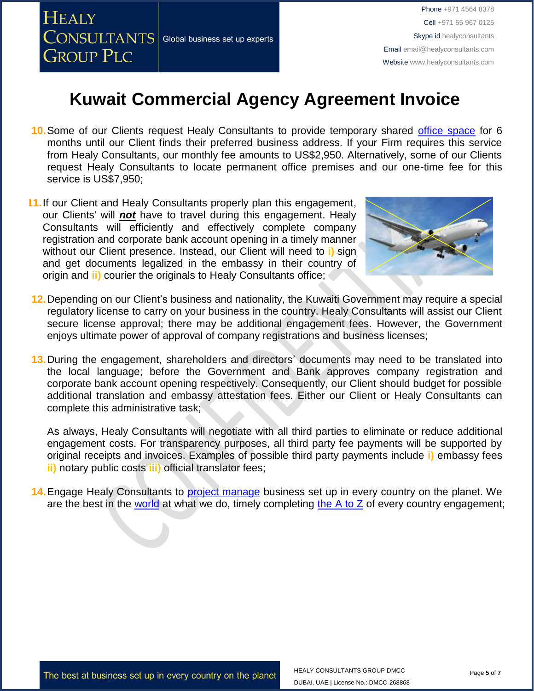

Phone +971 4564 8378 Cell +971 55 967 0125 Skype id healyconsultants Email [email@healyconsultants.com](mailto:EMAIL@HEALYCONSULTANTS.COM) Website [www.healyconsultants.com](http://www.healyconsultants.com/)

### **Kuwait Commercial Agency Agreement Invoice**

- **10.**Some of our Clients request Healy Consultants to provide temporary shared [office space](http://www.healyconsultants.com/virtual-office/) for 6 months until our Client finds their preferred business address. If your Firm requires this service from Healy Consultants, our monthly fee amounts to US\$2,950. Alternatively, some of our Clients request Healy Consultants to locate permanent office premises and our one-time fee for this service is US\$7,950;
- **11.**If our Client and Healy Consultants properly plan this engagement, our Clients' will *not* have to travel during this engagement. Healy Consultants will efficiently and effectively complete company registration and corporate bank account opening in a timely manner without our Client presence. Instead, our Client will need to **i)** sign and get documents legalized in the embassy in their country of origin and **ii)** courier the originals to Healy Consultants office;



- **12.**Depending on our Client's business and nationality, the Kuwaiti Government may require a special regulatory license to carry on your business in the country. Healy Consultants will assist our Client secure license approval; there may be additional engagement fees. However, the Government enjoys ultimate power of approval of company registrations and business licenses;
- **13.**During the engagement, shareholders and directors' documents may need to be translated into the local language; before the Government and Bank approves company registration and corporate bank account opening respectively. Consequently, our Client should budget for possible additional translation and embassy attestation fees. Either our Client or Healy Consultants can complete this administrative task;

As always, Healy Consultants will negotiate with all third parties to eliminate or reduce additional engagement costs. For transparency purposes, all third party fee payments will be supported by original receipts and invoices. Examples of possible third party payments include **i)** embassy fees **ii)** notary public costs **iii)** official translator fees;

**14.**Engage Healy Consultants to [project manage](http://www.healyconsultants.com/project-manage-engagements/) business set up in every country on the planet. We are the best in the [world](http://www.healyconsultants.com/best-in-the-world/) at what we do, timely completing the  $A$  to  $Z$  of every country engagement;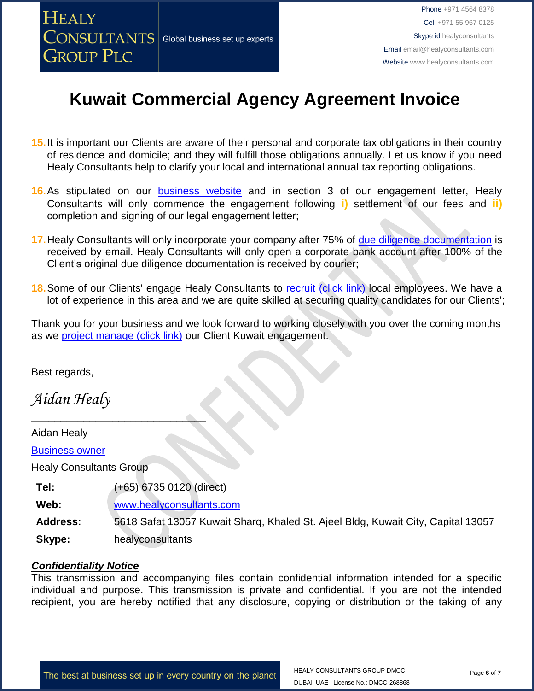

- **15.**It is important our Clients are aware of their personal and corporate tax obligations in their country of residence and domicile; and they will fulfill those obligations annually. Let us know if you need Healy Consultants help to clarify your local and international annual tax reporting obligations.
- 16. As stipulated on our **[business website](http://www.healyconsultants.com/)** and in section 3 of our engagement letter, Healy Consultants will only commence the engagement following **i)** settlement of our fees and **ii)** completion and signing of our legal engagement letter;
- 17. Healy Consultants will only incorporate your company after 75% of [due diligence documentation](http://www.healyconsultants.com/due-diligence/) is received by email. Healy Consultants will only open a corporate bank account after 100% of the Client's original due diligence documentation is received by courier;
- **18.** Some of our Clients' engage Healy Consultants to [recruit \(click link\)](http://www.healyconsultants.com/corporate-outsourcing-services/how-we-help-our-clients-recruit-quality-employees/) local employees. We have a lot of experience in this area and we are quite skilled at securing quality candidates for our Clients';

Thank you for your business and we look forward to working closely with you over the coming months as we [project manage \(click link\)](http://www.healyconsultants.com/about-us/why-us/a-to-z-of-business-set-up/) our Client Kuwait engagement.

Best regards,

*Aidan Healy*

Aidan Healy

**[Business owner](http://www.healyconsultants.com/about-us/key-personnel/aidan-healy-profile/)** 

Healy Consultants Group

**Tel:** (+65) 6735 0120 (direct)

 $\overline{\phantom{a}}$  , we can assume that the contract of  $\overline{\phantom{a}}$ 

**Web:** [www.healyconsultants.com](http://www.healyconsultants.com/)

**Address:** 5618 Safat 13057 Kuwait Sharq, Khaled St. Ajeel Bldg, Kuwait City, Capital 13057

**Skype:** healyconsultants

### *Confidentiality Notice*

This transmission and accompanying files contain confidential information intended for a specific individual and purpose. This transmission is private and confidential. If you are not the intended recipient, you are hereby notified that any disclosure, copying or distribution or the taking of any